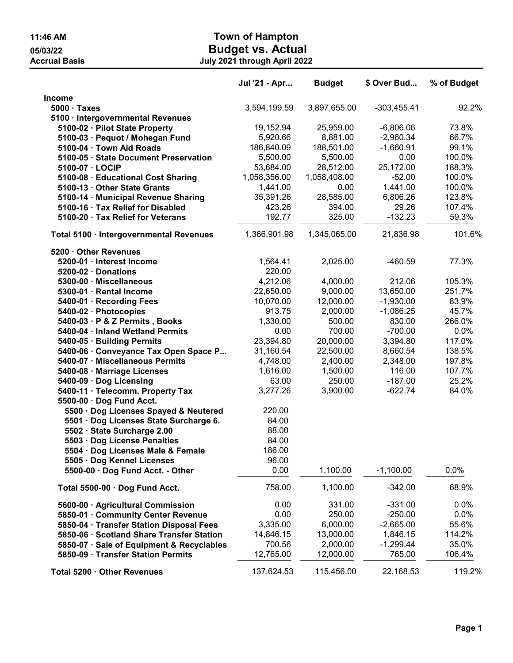|                                                    | Jul '21 - Apr | <b>Budget</b> | \$ Over Bud   | % of Budget      |
|----------------------------------------------------|---------------|---------------|---------------|------------------|
| <b>Income</b>                                      |               |               |               |                  |
| $5000 \cdot \text{Taxes}$                          | 3,594,199.59  | 3,897,655.00  | $-303,455.41$ | 92.2%            |
| 5100 · Intergovernmental Revenues                  |               |               |               |                  |
| 5100-02 · Pilot State Property                     | 19,152.94     | 25,959.00     | $-6,806.06$   | 73.8%            |
| 5100-03 · Pequot / Mohegan Fund                    | 5,920.66      | 8,881.00      | $-2,960.34$   | 66.7%            |
| 5100-04 · Town Aid Roads                           | 186,840.09    | 188,501.00    | $-1,660.91$   | 99.1%            |
| 5100-05 · State Document Preservation              | 5,500.00      | 5,500.00      | 0.00          | 100.0%           |
| 5100-07 · LOCIP                                    | 53,684.00     | 28,512.00     | 25,172.00     | 188.3%           |
| 5100-08 · Educational Cost Sharing                 | 1,058,356.00  | 1,058,408.00  | $-52.00$      | 100.0%           |
| 5100-13 · Other State Grants                       | 1,441.00      | 0.00          | 1,441.00      | 100.0%           |
| 5100-14 · Municipal Revenue Sharing                | 35,391.26     | 28,585.00     | 6,806.26      | 123.8%           |
| 5100-16 · Tax Relief for Disabled                  | 423.26        | 394.00        | 29.26         | 107.4%           |
| 5100-20 · Tax Relief for Veterans                  | 192.77        | 325.00        | $-132.23$     | 59.3%            |
| Total 5100 · Intergovernmental Revenues            | 1,366,901.98  | 1,345,065.00  | 21,836.98     | 101.6%           |
|                                                    |               |               |               |                  |
| 5200 · Other Revenues<br>5200-01 · Interest Income |               |               | $-460.59$     | 77.3%            |
|                                                    | 1,564.41      | 2,025.00      |               |                  |
| 5200-02 · Donations                                | 220.00        |               |               |                  |
| 5300-00 · Miscellaneous                            | 4,212.06      | 4,000.00      | 212.06        | 105.3%<br>251.7% |
| 5300-01 · Rental Income                            | 22,650.00     | 9,000.00      | 13,650.00     |                  |
| 5400-01 · Recording Fees                           | 10,070.00     | 12,000.00     | $-1,930.00$   | 83.9%            |
| 5400-02 · Photocopies                              | 913.75        | 2,000.00      | $-1,086.25$   | 45.7%            |
| 5400-03 · P & Z Permits, Books                     | 1,330.00      | 500.00        | 830.00        | 266.0%           |
| 5400-04 · Inland Wetland Permits                   | 0.00          | 700.00        | $-700.00$     | 0.0%             |
| 5400-05 · Building Permits                         | 23,394.80     | 20,000.00     | 3,394.80      | 117.0%           |
| 5400-06 · Conveyance Tax Open Space P              | 31,160.54     | 22,500.00     | 8,660.54      | 138.5%           |
| 5400-07 · Miscellaneous Permits                    | 4,748.00      | 2,400.00      | 2,348.00      | 197.8%           |
| 5400-08 · Marriage Licenses                        | 1,616.00      | 1,500.00      | 116.00        | 107.7%           |
| 5400-09 · Dog Licensing                            | 63.00         | 250.00        | $-187.00$     | 25.2%            |
| 5400-11 · Telecomm. Property Tax                   | 3,277.26      | 3,900.00      | $-622.74$     | 84.0%            |
| 5500-00 · Dog Fund Acct.                           |               |               |               |                  |
| 5500 · Dog Licenses Spayed & Neutered              | 220.00        |               |               |                  |
| 5501 · Dog Licenses State Surcharge 6.             | 84.00         |               |               |                  |
| 5502 · State Surcharge 2.00                        | 88.00         |               |               |                  |
| 5503 · Dog License Penalties                       | 84.00         |               |               |                  |
| 5504 · Dog Licenses Male & Female                  | 186.00        |               |               |                  |
| 5505 · Dog Kennel Licenses                         | 96.00         |               |               |                  |
| 5500-00 · Dog Fund Acct. - Other                   | 0.00          | 1,100.00      | $-1,100.00$   | 0.0%             |
| Total 5500-00 · Dog Fund Acct.                     | 758.00        | 1,100.00      | $-342.00$     | 68.9%            |
| 5600-00 · Agricultural Commission                  | 0.00          | 331.00        | $-331.00$     | 0.0%             |
| 5850-01 · Community Center Revenue                 | 0.00          | 250.00        | $-250.00$     | 0.0%             |
| 5850-04 · Transfer Station Disposal Fees           | 3,335.00      | 6,000.00      | $-2,665.00$   | 55.6%            |
| 5850-06 · Scotland Share Transfer Station          | 14,846.15     | 13,000.00     | 1,846.15      | 114.2%           |
| 5850-07 · Sale of Equipment & Recyclables          | 700.56        | 2,000.00      | $-1,299.44$   | 35.0%            |
| 5850-09 · Transfer Station Permits                 | 12,765.00     | 12,000.00     | 765.00        | 106.4%           |
| Total 5200 · Other Revenues                        | 137,624.53    | 115,456.00    | 22,168.53     | 119.2%           |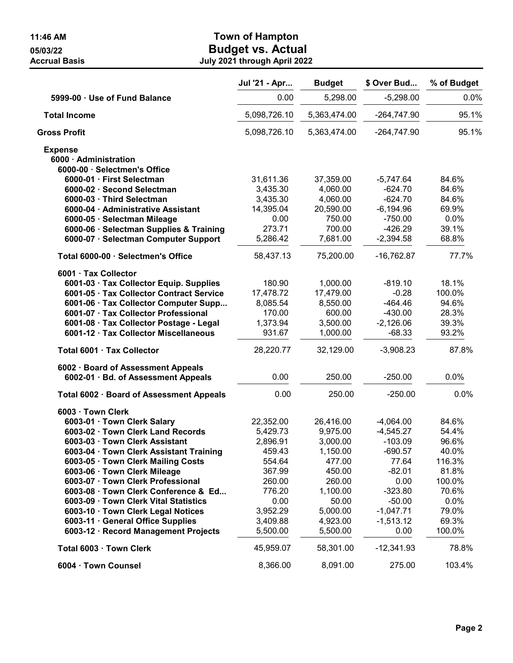|                                          | Jul '21 - Apr | <b>Budget</b> | \$ Over Bud   | % of Budget |
|------------------------------------------|---------------|---------------|---------------|-------------|
| 5999-00 · Use of Fund Balance            | 0.00          | 5,298.00      | $-5,298.00$   | 0.0%        |
| <b>Total Income</b>                      | 5,098,726.10  | 5,363,474.00  | $-264,747.90$ | 95.1%       |
| <b>Gross Profit</b>                      | 5,098,726.10  | 5,363,474.00  | $-264,747.90$ | 95.1%       |
| <b>Expense</b>                           |               |               |               |             |
| 6000 · Administration                    |               |               |               |             |
| 6000-00 · Selectmen's Office             |               |               |               |             |
| 6000-01 · First Selectman                | 31,611.36     | 37,359.00     | $-5,747.64$   | 84.6%       |
| 6000-02 · Second Selectman               | 3,435.30      | 4,060.00      | $-624.70$     | 84.6%       |
| 6000-03 · Third Selectman                | 3,435.30      | 4,060.00      | $-624.70$     | 84.6%       |
| 6000-04 · Administrative Assistant       | 14,395.04     | 20,590.00     | $-6,194.96$   | 69.9%       |
| 6000-05 · Selectman Mileage              | 0.00          | 750.00        | $-750.00$     | 0.0%        |
| 6000-06 · Selectman Supplies & Training  | 273.71        | 700.00        | $-426.29$     | 39.1%       |
| 6000-07 · Selectman Computer Support     | 5,286.42      | 7,681.00      | $-2,394.58$   | 68.8%       |
| Total 6000-00 · Selectmen's Office       | 58,437.13     | 75,200.00     | $-16,762.87$  | 77.7%       |
| 6001 · Tax Collector                     |               |               |               |             |
| 6001-03 · Tax Collector Equip. Supplies  | 180.90        | 1,000.00      | $-819.10$     | 18.1%       |
| 6001-05 · Tax Collector Contract Service | 17,478.72     | 17,479.00     | $-0.28$       | 100.0%      |
| 6001-06 · Tax Collector Computer Supp    | 8,085.54      | 8,550.00      | $-464.46$     | 94.6%       |
| 6001-07 · Tax Collector Professional     | 170.00        | 600.00        | $-430.00$     | 28.3%       |
| 6001-08 · Tax Collector Postage - Legal  | 1,373.94      | 3,500.00      | $-2,126.06$   | 39.3%       |
| 6001-12 · Tax Collector Miscellaneous    | 931.67        | 1,000.00      | $-68.33$      | 93.2%       |
| Total 6001 · Tax Collector               | 28,220.77     | 32,129.00     | $-3,908.23$   | 87.8%       |
| 6002 · Board of Assessment Appeals       |               |               |               |             |
| 6002-01 · Bd. of Assessment Appeals      | 0.00          | 250.00        | $-250.00$     | 0.0%        |
| Total 6002 · Board of Assessment Appeals | 0.00          | 250.00        | $-250.00$     | 0.0%        |
| 6003 · Town Clerk                        |               |               |               |             |
| 6003-01 · Town Clerk Salary              | 22,352.00     | 26,416.00     | $-4,064.00$   | 84.6%       |
| 6003-02 · Town Clerk Land Records        | 5,429.73      | 9,975.00      | $-4,545.27$   | 54.4%       |
| 6003-03 · Town Clerk Assistant           | 2,896.91      | 3,000.00      | $-103.09$     | 96.6%       |
| 6003-04 · Town Clerk Assistant Training  | 459.43        | 1,150.00      | $-690.57$     | 40.0%       |
| 6003-05 · Town Clerk Mailing Costs       | 554.64        | 477.00        | 77.64         | 116.3%      |
| 6003-06 · Town Clerk Mileage             | 367.99        | 450.00        | $-82.01$      | 81.8%       |
| 6003-07 · Town Clerk Professional        | 260.00        | 260.00        | 0.00          | 100.0%      |
| 6003-08 · Town Clerk Conference & Ed     | 776.20        | 1,100.00      | $-323.80$     | 70.6%       |
| 6003-09 · Town Clerk Vital Statistics    | 0.00          | 50.00         | $-50.00$      | 0.0%        |
| 6003-10 · Town Clerk Legal Notices       | 3,952.29      | 5,000.00      | $-1,047.71$   | 79.0%       |
| 6003-11 · General Office Supplies        | 3,409.88      | 4,923.00      | $-1,513.12$   | 69.3%       |
| 6003-12 · Record Management Projects     | 5,500.00      | 5,500.00      | 0.00          | 100.0%      |
| Total 6003 · Town Clerk                  | 45,959.07     | 58,301.00     | $-12,341.93$  | 78.8%       |
| 6004 · Town Counsel                      | 8,366.00      | 8,091.00      | 275.00        | 103.4%      |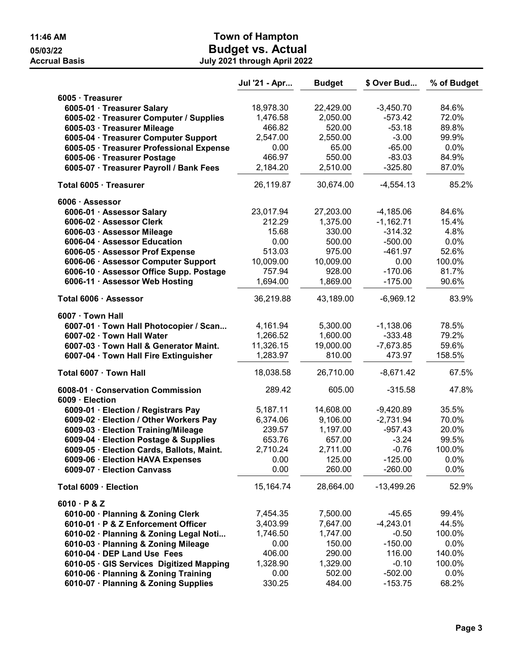|                                                      | Jul '21 - Apr | <b>Budget</b> | \$ Over Bud  | % of Budget |
|------------------------------------------------------|---------------|---------------|--------------|-------------|
| 6005 · Treasurer                                     |               |               |              |             |
| 6005-01 · Treasurer Salary                           | 18,978.30     | 22,429.00     | $-3,450.70$  | 84.6%       |
| 6005-02 · Treasurer Computer / Supplies              | 1,476.58      | 2,050.00      | $-573.42$    | 72.0%       |
| 6005-03 · Treasurer Mileage                          | 466.82        | 520.00        | $-53.18$     | 89.8%       |
| 6005-04 · Treasurer Computer Support                 | 2,547.00      | 2,550.00      | $-3.00$      | 99.9%       |
| 6005-05 · Treasurer Professional Expense             | 0.00          | 65.00         | $-65.00$     | 0.0%        |
| 6005-06 · Treasurer Postage                          | 466.97        | 550.00        | $-83.03$     | 84.9%       |
| 6005-07 · Treasurer Payroll / Bank Fees              | 2,184.20      | 2,510.00      | $-325.80$    | 87.0%       |
| Total 6005 · Treasurer                               | 26,119.87     | 30,674.00     | $-4,554.13$  | 85.2%       |
| 6006 · Assessor                                      |               |               |              |             |
| 6006-01 · Assessor Salary                            | 23,017.94     | 27,203.00     | $-4,185.06$  | 84.6%       |
| 6006-02 · Assessor Clerk                             | 212.29        | 1,375.00      | $-1,162.71$  | 15.4%       |
| 6006-03 · Assessor Mileage                           | 15.68         | 330.00        | $-314.32$    | 4.8%        |
| 6006-04 · Assessor Education                         | 0.00          | 500.00        | $-500.00$    | 0.0%        |
| 6006-05 · Assessor Prof Expense                      | 513.03        | 975.00        | $-461.97$    | 52.6%       |
| 6006-06 · Assessor Computer Support                  | 10,009.00     | 10,009.00     | 0.00         | 100.0%      |
| 6006-10 · Assessor Office Supp. Postage              | 757.94        | 928.00        | $-170.06$    | 81.7%       |
| 6006-11 · Assessor Web Hosting                       | 1,694.00      | 1,869.00      | $-175.00$    | 90.6%       |
| Total 6006 · Assessor                                | 36,219.88     | 43,189.00     | $-6,969.12$  | 83.9%       |
| 6007 · Town Hall                                     |               |               |              |             |
| 6007-01 · Town Hall Photocopier / Scan               | 4,161.94      | 5,300.00      | $-1,138.06$  | 78.5%       |
| 6007-02 · Town Hall Water                            | 1,266.52      | 1,600.00      | $-333.48$    | 79.2%       |
| 6007-03 · Town Hall & Generator Maint.               | 11,326.15     | 19,000.00     | $-7,673.85$  | 59.6%       |
| 6007-04 · Town Hall Fire Extinguisher                | 1,283.97      | 810.00        | 473.97       | 158.5%      |
| Total 6007 · Town Hall                               | 18,038.58     | 26,710.00     | $-8,671.42$  | 67.5%       |
| 6008-01 · Conservation Commission<br>6009 · Election | 289.42        | 605.00        | $-315.58$    | 47.8%       |
| 6009-01 · Election / Registrars Pay                  | 5,187.11      | 14,608.00     | $-9,420.89$  | 35.5%       |
| 6009-02 · Election / Other Workers Pay               | 6,374.06      | 9,106.00      | $-2,731.94$  | 70.0%       |
| 6009-03 · Election Training/Mileage                  | 239.57        | 1,197.00      | $-957.43$    | 20.0%       |
| 6009-04 · Election Postage & Supplies                | 653.76        | 657.00        | $-3.24$      | 99.5%       |
| 6009-05 · Election Cards, Ballots, Maint.            | 2,710.24      | 2,711.00      | $-0.76$      | 100.0%      |
| 6009-06 · Election HAVA Expenses                     | 0.00          | 125.00        | $-125.00$    | 0.0%        |
| 6009-07 · Election Canvass                           | 0.00          | 260.00        | $-260.00$    | 0.0%        |
| Total 6009 · Election                                | 15,164.74     | 28,664.00     | $-13,499.26$ | 52.9%       |
| $6010 \cdot P$ & Z                                   |               |               |              |             |
| 6010-00 · Planning & Zoning Clerk                    | 7,454.35      | 7,500.00      | $-45.65$     | 99.4%       |
| 6010-01 · P & Z Enforcement Officer                  | 3,403.99      | 7,647.00      | $-4,243.01$  | 44.5%       |
| 6010-02 · Planning & Zoning Legal Noti               | 1,746.50      | 1,747.00      | $-0.50$      | 100.0%      |
| 6010-03 · Planning & Zoning Mileage                  | 0.00          | 150.00        | $-150.00$    | 0.0%        |
| 6010-04 · DEP Land Use Fees                          | 406.00        | 290.00        | 116.00       | 140.0%      |
| 6010-05 · GIS Services Digitized Mapping             | 1,328.90      | 1,329.00      | $-0.10$      | 100.0%      |
| 6010-06 · Planning & Zoning Training                 | 0.00          | 502.00        | $-502.00$    | 0.0%        |
| 6010-07 · Planning & Zoning Supplies                 | 330.25        | 484.00        | $-153.75$    | 68.2%       |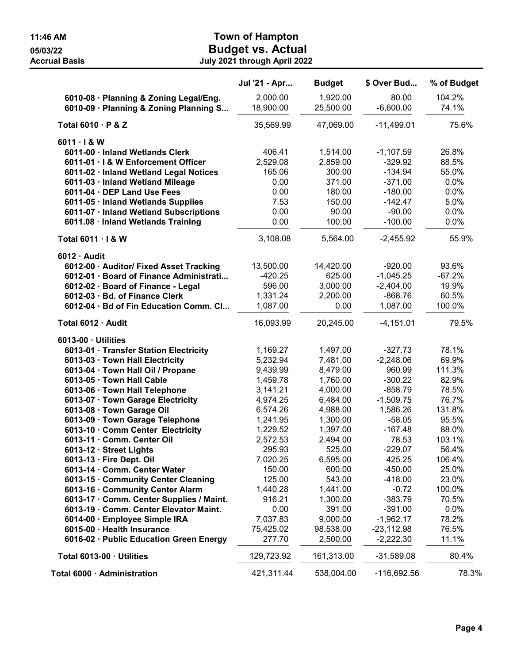|                                                                                                                                                                                                                                                                                                                                                                                                                                                                                                                                                                                                                                                                                                                                                     | Jul '21 - Apr                                                                                                                                                                                                                   | <b>Budget</b>                                                                                                                                                                                                                         | \$ Over Bud                                                                                                                                                                                                                                                 | % of Budget                                                                                                                                                                          |
|-----------------------------------------------------------------------------------------------------------------------------------------------------------------------------------------------------------------------------------------------------------------------------------------------------------------------------------------------------------------------------------------------------------------------------------------------------------------------------------------------------------------------------------------------------------------------------------------------------------------------------------------------------------------------------------------------------------------------------------------------------|---------------------------------------------------------------------------------------------------------------------------------------------------------------------------------------------------------------------------------|---------------------------------------------------------------------------------------------------------------------------------------------------------------------------------------------------------------------------------------|-------------------------------------------------------------------------------------------------------------------------------------------------------------------------------------------------------------------------------------------------------------|--------------------------------------------------------------------------------------------------------------------------------------------------------------------------------------|
| 6010-08 · Planning & Zoning Legal/Eng.<br>6010-09 · Planning & Zoning Planning S                                                                                                                                                                                                                                                                                                                                                                                                                                                                                                                                                                                                                                                                    | 2,000.00<br>18,900.00                                                                                                                                                                                                           | 1,920.00<br>25,500.00                                                                                                                                                                                                                 | 80.00<br>$-6,600.00$                                                                                                                                                                                                                                        | 104.2%<br>74.1%                                                                                                                                                                      |
| Total 6010 · P & Z                                                                                                                                                                                                                                                                                                                                                                                                                                                                                                                                                                                                                                                                                                                                  | 35,569.99                                                                                                                                                                                                                       | 47,069.00                                                                                                                                                                                                                             | $-11,499.01$                                                                                                                                                                                                                                                | 75.6%                                                                                                                                                                                |
| $6011 \cdot 18$ W<br>6011-00 · Inland Wetlands Clerk<br>6011-01 · I & W Enforcement Officer<br>6011-02 · Inland Wetland Legal Notices<br>6011-03 · Inland Wetland Mileage<br>6011-04 · DEP Land Use Fees<br>6011-05 · Inland Wetlands Supplies<br>6011-07 · Inland Wetland Subscriptions<br>6011.08 · Inland Wetlands Training                                                                                                                                                                                                                                                                                                                                                                                                                      | 406.41<br>2,529.08<br>165.06<br>0.00<br>0.00<br>7.53<br>0.00<br>0.00                                                                                                                                                            | 1,514.00<br>2,859.00<br>300.00<br>371.00<br>180.00<br>150.00<br>90.00<br>100.00                                                                                                                                                       | $-1,107.59$<br>$-329.92$<br>$-134.94$<br>$-371.00$<br>$-180.00$<br>$-142.47$<br>$-90.00$<br>$-100.00$                                                                                                                                                       | 26.8%<br>88.5%<br>55.0%<br>0.0%<br>0.0%<br>5.0%<br>0.0%<br>0.0%                                                                                                                      |
| Total 6011 · I & W                                                                                                                                                                                                                                                                                                                                                                                                                                                                                                                                                                                                                                                                                                                                  | 3,108.08                                                                                                                                                                                                                        | 5,564.00                                                                                                                                                                                                                              | $-2,455.92$                                                                                                                                                                                                                                                 | 55.9%                                                                                                                                                                                |
| $6012 \cdot$ Audit<br>6012-00 · Auditor/ Fixed Asset Tracking<br>6012-01 · Board of Finance Administrati<br>6012-02 · Board of Finance - Legal<br>6012-03 · Bd. of Finance Clerk<br>6012-04 · Bd of Fin Education Comm. Cl                                                                                                                                                                                                                                                                                                                                                                                                                                                                                                                          | 13,500.00<br>$-420.25$<br>596.00<br>1,331.24<br>1,087.00                                                                                                                                                                        | 14,420.00<br>625.00<br>3,000.00<br>2,200.00<br>0.00                                                                                                                                                                                   | $-920.00$<br>$-1,045.25$<br>$-2,404.00$<br>$-868.76$<br>1,087.00                                                                                                                                                                                            | 93.6%<br>$-67.2%$<br>19.9%<br>60.5%<br>100.0%                                                                                                                                        |
| Total 6012 · Audit                                                                                                                                                                                                                                                                                                                                                                                                                                                                                                                                                                                                                                                                                                                                  | 16,093.99                                                                                                                                                                                                                       | 20,245.00                                                                                                                                                                                                                             | $-4,151.01$                                                                                                                                                                                                                                                 | 79.5%                                                                                                                                                                                |
| 6013-00 · Utilities<br>6013-01 · Transfer Station Electricity<br>6013-03 · Town Hall Electricity<br>6013-04 · Town Hall Oil / Propane<br>6013-05 · Town Hall Cable<br>6013-06 · Town Hall Telephone<br>6013-07 · Town Garage Electricity<br>6013-08 · Town Garage Oil<br>6013-09 · Town Garage Telephone<br>6013-10 · Comm Center Electricity<br>6013-11 · Comm. Center Oil<br>6013-12 · Street Lights<br>6013-13 $\cdot$ Fire Dept. Oil<br>6013-14 · Comm. Center Water<br>6013-15 · Community Center Cleaning<br>6013-16 · Community Center Alarm<br>6013-17 · Comm. Center Supplies / Maint.<br>6013-19 · Comm. Center Elevator Maint.<br>6014-00 · Employee Simple IRA<br>6015-00 · Health Insurance<br>6016-02 · Public Education Green Energy | 1,169.27<br>5,232.94<br>9,439.99<br>1,459.78<br>3,141.21<br>4,974.25<br>6,574.26<br>1,241.95<br>1,229.52<br>2,572.53<br>295.93<br>7,020.25<br>150.00<br>125.00<br>1,440.28<br>916.21<br>0.00<br>7,037.83<br>75,425.02<br>277.70 | 1,497.00<br>7,481.00<br>8,479.00<br>1,760.00<br>4,000.00<br>6,484.00<br>4,988.00<br>1,300.00<br>1,397.00<br>2,494.00<br>525.00<br>6,595.00<br>600.00<br>543.00<br>1,441.00<br>1,300.00<br>391.00<br>9,000.00<br>98,538.00<br>2,500.00 | $-327.73$<br>$-2,248.06$<br>960.99<br>$-300.22$<br>$-858.79$<br>$-1,509.75$<br>1,586.26<br>$-58.05$<br>$-167.48$<br>78.53<br>$-229.07$<br>425.25<br>$-450.00$<br>-418.00<br>$-0.72$<br>$-383.79$<br>$-391.00$<br>$-1,962.17$<br>$-23,112.98$<br>$-2,222.30$ | 78.1%<br>69.9%<br>111.3%<br>82.9%<br>78.5%<br>76.7%<br>131.8%<br>95.5%<br>88.0%<br>103.1%<br>56.4%<br>106.4%<br>25.0%<br>23.0%<br>100.0%<br>70.5%<br>0.0%<br>78.2%<br>76.5%<br>11.1% |
| Total 6013-00 · Utilities                                                                                                                                                                                                                                                                                                                                                                                                                                                                                                                                                                                                                                                                                                                           | 129,723.92                                                                                                                                                                                                                      | 161,313.00                                                                                                                                                                                                                            | $-31,589.08$                                                                                                                                                                                                                                                | 80.4%                                                                                                                                                                                |
| Total 6000 · Administration                                                                                                                                                                                                                                                                                                                                                                                                                                                                                                                                                                                                                                                                                                                         | 421,311.44                                                                                                                                                                                                                      | 538,004.00                                                                                                                                                                                                                            | -116,692.56                                                                                                                                                                                                                                                 | 78.3%                                                                                                                                                                                |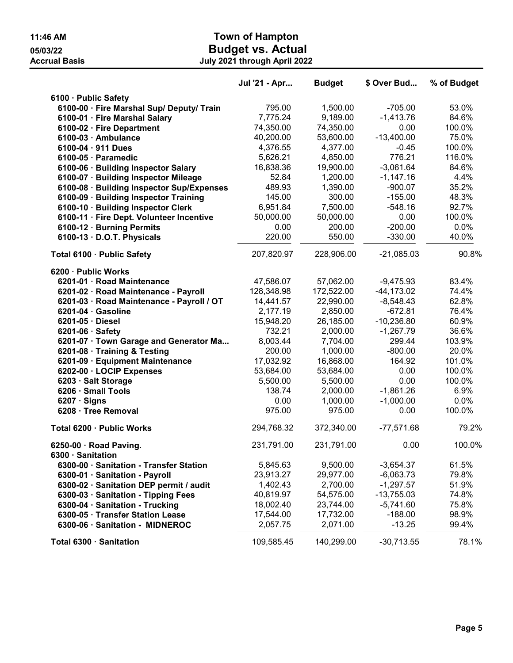|                                                   | Jul '21 - Apr | <b>Budget</b> | \$ Over Bud   | % of Budget |
|---------------------------------------------------|---------------|---------------|---------------|-------------|
| 6100 · Public Safety                              |               |               |               |             |
| 6100-00 · Fire Marshal Sup/ Deputy/ Train         | 795.00        | 1,500.00      | $-705.00$     | 53.0%       |
| 6100-01 · Fire Marshal Salary                     | 7,775.24      | 9,189.00      | $-1,413.76$   | 84.6%       |
| 6100-02 · Fire Department                         | 74,350.00     | 74,350.00     | 0.00          | 100.0%      |
| 6100-03 · Ambulance                               | 40,200.00     | 53,600.00     | $-13,400.00$  | 75.0%       |
| $6100 - 04 \cdot 911$ Dues                        | 4,376.55      | 4,377.00      | $-0.45$       | 100.0%      |
| 6100-05 · Paramedic                               | 5,626.21      | 4,850.00      | 776.21        | 116.0%      |
| 6100-06 · Building Inspector Salary               | 16,838.36     | 19,900.00     | $-3,061.64$   | 84.6%       |
| 6100-07 · Building Inspector Mileage              | 52.84         | 1,200.00      | $-1,147.16$   | 4.4%        |
| 6100-08 · Building Inspector Sup/Expenses         | 489.93        | 1,390.00      | $-900.07$     | 35.2%       |
| 6100-09 · Building Inspector Training             | 145.00        | 300.00        | $-155.00$     | 48.3%       |
| 6100-10 · Building Inspector Clerk                | 6,951.84      | 7,500.00      | $-548.16$     | 92.7%       |
| 6100-11 · Fire Dept. Volunteer Incentive          | 50,000.00     | 50,000.00     | 0.00          | 100.0%      |
| 6100-12 · Burning Permits                         | 0.00          | 200.00        | $-200.00$     | 0.0%        |
| 6100-13 · D.O.T. Physicals                        | 220.00        | 550.00        | $-330.00$     | 40.0%       |
| Total 6100 · Public Safety                        | 207,820.97    | 228,906.00    | $-21,085.03$  | 90.8%       |
| 6200 · Public Works                               |               |               |               |             |
| 6201-01 · Road Maintenance                        | 47,586.07     | 57,062.00     | $-9,475.93$   | 83.4%       |
| 6201-02 · Road Maintenance - Payroll              | 128,348.98    | 172,522.00    | $-44, 173.02$ | 74.4%       |
| 6201-03 · Road Maintenance - Payroll / OT         | 14,441.57     | 22,990.00     | $-8,548.43$   | 62.8%       |
| $6201-04 \cdot$ Gasoline                          | 2,177.19      | 2,850.00      | $-672.81$     | 76.4%       |
| 6201-05 · Diesel                                  | 15,948.20     | 26,185.00     | $-10,236.80$  | 60.9%       |
| $6201-06 \cdot$ Safety                            | 732.21        | 2,000.00      | $-1,267.79$   | 36.6%       |
| 6201-07 · Town Garage and Generator Ma            | 8,003.44      | 7,704.00      | 299.44        | 103.9%      |
| 6201-08 · Training & Testing                      | 200.00        | 1,000.00      | $-800.00$     | 20.0%       |
| 6201-09 · Equipment Maintenance                   | 17,032.92     | 16,868.00     | 164.92        | 101.0%      |
| 6202-00 · LOCIP Expenses                          | 53,684.00     | 53,684.00     | 0.00          | 100.0%      |
| 6203 · Salt Storage                               | 5,500.00      | 5,500.00      | 0.00          | 100.0%      |
| 6206 · Small Tools                                | 138.74        | 2,000.00      | $-1,861.26$   | 6.9%        |
| $6207 \cdot$ Signs                                | 0.00          | 1,000.00      | $-1,000.00$   | 0.0%        |
| 6208 · Tree Removal                               | 975.00        | 975.00        | 0.00          | 100.0%      |
| Total 6200 · Public Works                         | 294,768.32    | 372,340.00    | $-77,571.68$  | 79.2%       |
| 6250-00 $\cdot$ Road Paving.<br>6300 · Sanitation | 231,791.00    | 231,791.00    | 0.00          | 100.0%      |
| 6300-00 · Sanitation - Transfer Station           | 5,845.63      | 9,500.00      | $-3,654.37$   | 61.5%       |
| 6300-01 · Sanitation - Payroll                    | 23,913.27     | 29,977.00     | $-6,063.73$   | 79.8%       |
| 6300-02 · Sanitation DEP permit / audit           | 1,402.43      | 2,700.00      | $-1,297.57$   | 51.9%       |
| 6300-03 · Sanitation - Tipping Fees               | 40,819.97     | 54,575.00     | $-13,755.03$  | 74.8%       |
| 6300-04 · Sanitation - Trucking                   | 18,002.40     | 23,744.00     | $-5,741.60$   | 75.8%       |
| 6300-05 · Transfer Station Lease                  | 17,544.00     | 17,732.00     | $-188.00$     | 98.9%       |
| 6300-06 · Sanitation - MIDNEROC                   | 2,057.75      | 2,071.00      | $-13.25$      | 99.4%       |
|                                                   |               |               |               |             |
| Total 6300 · Sanitation                           | 109,585.45    | 140,299.00    | $-30,713.55$  | 78.1%       |